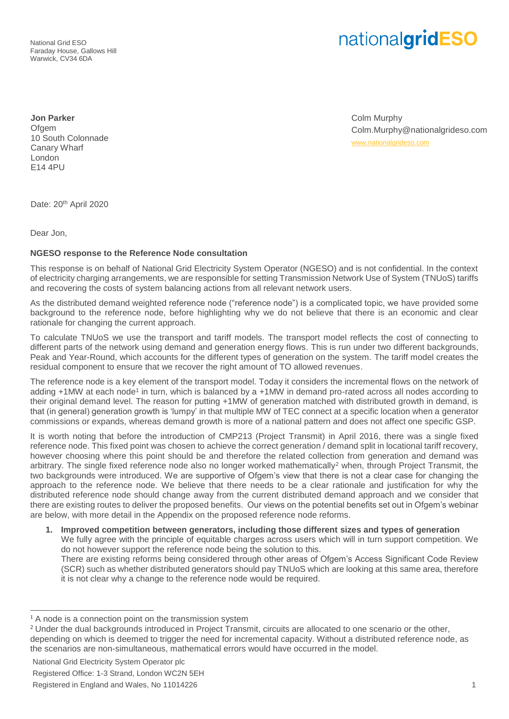National Grid ESO Faraday House, Gallows Hill Warwick, CV34 6DA

## nationalgridESO

**Jon Parker** Ofgem 10 South Colonnade Canary Wharf London E14 4PU

Colm Murphy Colm.Murphy@nationalgrideso.com [www.nationalgrideso.com](http://www.nationalgrideso.com/)

Date: 20<sup>th</sup> April 2020

Dear Jon,

## **NGESO response to the Reference Node consultation**

This response is on behalf of National Grid Electricity System Operator (NGESO) and is not confidential. In the context of electricity charging arrangements, we are responsible for setting Transmission Network Use of System (TNUoS) tariffs and recovering the costs of system balancing actions from all relevant network users.

As the distributed demand weighted reference node ("reference node") is a complicated topic, we have provided some background to the reference node, before highlighting why we do not believe that there is an economic and clear rationale for changing the current approach.

To calculate TNUoS we use the transport and tariff models. The transport model reflects the cost of connecting to different parts of the network using demand and generation energy flows. This is run under two different backgrounds, Peak and Year-Round, which accounts for the different types of generation on the system. The tariff model creates the residual component to ensure that we recover the right amount of TO allowed revenues.

The reference node is a key element of the transport model. Today it considers the incremental flows on the network of adding +1MW at each node<sup>1</sup> in turn, which is balanced by a +1MW in demand pro-rated across all nodes according to their original demand level. The reason for putting +1MW of generation matched with distributed growth in demand, is that (in general) generation growth is 'lumpy' in that multiple MW of TEC connect at a specific location when a generator commissions or expands, whereas demand growth is more of a national pattern and does not affect one specific GSP.

It is worth noting that before the introduction of CMP213 (Project Transmit) in April 2016, there was a single fixed reference node. This fixed point was chosen to achieve the correct generation / demand split in locational tariff recovery, however choosing where this point should be and therefore the related collection from generation and demand was arbitrary. The single fixed reference node also no longer worked mathematically<sup>2</sup> when, through Project Transmit, the two backgrounds were introduced. We are supportive of Ofgem's view that there is not a clear case for changing the approach to the reference node. We believe that there needs to be a clear rationale and justification for why the distributed reference node should change away from the current distributed demand approach and we consider that there are existing routes to deliver the proposed benefits. Our views on the potential benefits set out in Ofgem's webinar are below, with more detail in the Appendix on the proposed reference node reforms.

**1. Improved competition between generators, including those different sizes and types of generation** We fully agree with the principle of equitable charges across users which will in turn support competition. We do not however support the reference node being the solution to this.

There are existing reforms being considered through other areas of Ofgem's Access Significant Code Review (SCR) such as whether distributed generators should pay TNUoS which are looking at this same area, therefore it is not clear why a change to the reference node would be required.

 $\overline{a}$ 

<sup>&</sup>lt;sup>1</sup> A node is a connection point on the transmission system

<sup>&</sup>lt;sup>2</sup> Under the dual backgrounds introduced in Project Transmit, circuits are allocated to one scenario or the other, depending on which is deemed to trigger the need for incremental capacity. Without a distributed reference node, as the scenarios are non-simultaneous, mathematical errors would have occurred in the model.

National Grid Electricity System Operator plc

Registered Office: 1-3 Strand, London WC2N 5EH

Registered in England and Wales, No 11014226 1 and 200 and 200 and 200 and 200 and 200 and 200 and 200 and 200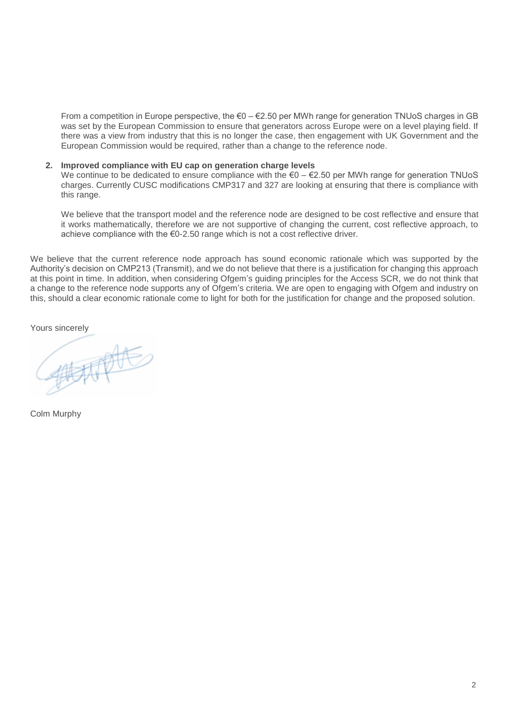From a competition in Europe perspective, the  $\epsilon$ 0 –  $\epsilon$ 2.50 per MWh range for generation TNUoS charges in GB was set by the European Commission to ensure that generators across Europe were on a level playing field. If there was a view from industry that this is no longer the case, then engagement with UK Government and the European Commission would be required, rather than a change to the reference node.

## **2. Improved compliance with EU cap on generation charge levels**

We continue to be dedicated to ensure compliance with the €0 – €2.50 per MWh range for generation TNUoS charges. Currently CUSC modifications CMP317 and 327 are looking at ensuring that there is compliance with this range.

We believe that the transport model and the reference node are designed to be cost reflective and ensure that it works mathematically, therefore we are not supportive of changing the current, cost reflective approach, to achieve compliance with the €0-2.50 range which is not a cost reflective driver.

We believe that the current reference node approach has sound economic rationale which was supported by the Authority's decision on CMP213 (Transmit), and we do not believe that there is a justification for changing this approach at this point in time. In addition, when considering Ofgem's guiding principles for the Access SCR, we do not think that a change to the reference node supports any of Ofgem's criteria. We are open to engaging with Ofgem and industry on this, should a clear economic rationale come to light for both for the justification for change and the proposed solution.

Yours sincerely

Colm Murphy